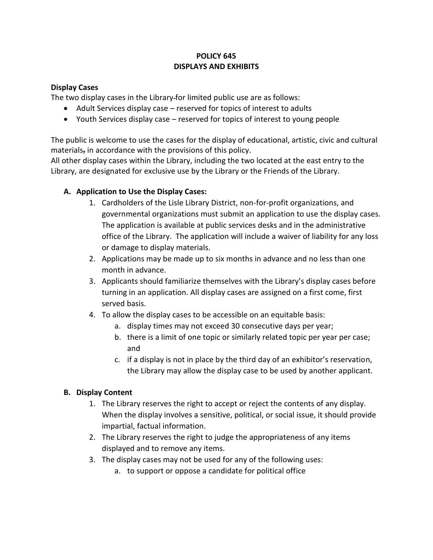## **POLICY 645 DISPLAYS AND EXHIBITS**

#### **Display Cases**

The two display cases in the Library for limited public use are as follows:

- Adult Services display case reserved for topics of interest to adults
- Youth Services display case reserved for topics of interest to young people

The public is welcome to use the cases for the display of educational, artistic, civic and cultural materials, in accordance with the provisions of this policy.

All other display cases within the Library, including the two located at the east entry to the Library, are designated for exclusive use by the Library or the Friends of the Library.

# **A. Application to Use the Display Cases:**

- 1. Cardholders of the Lisle Library District, non-for-profit organizations, and governmental organizations must submit an application to use the display cases. The application is available at public services desks and in the administrative office of the Library. The application will include a waiver of liability for any loss or damage to display materials.
- 2. Applications may be made up to six months in advance and no less than one month in advance.
- 3. Applicants should familiarize themselves with the Library's display cases before turning in an application. All display cases are assigned on a first come, first served basis.
- 4. To allow the display cases to be accessible on an equitable basis:
	- a. display times may not exceed 30 consecutive days per year;
	- b. there is a limit of one topic or similarly related topic per year per case; and
	- c. if a display is not in place by the third day of an exhibitor's reservation, the Library may allow the display case to be used by another applicant.

### **B. Display Content**

- 1. The Library reserves the right to accept or reject the contents of any display. When the display involves a sensitive, political, or social issue, it should provide impartial, factual information.
- 2. The Library reserves the right to judge the appropriateness of any items displayed and to remove any items.
- 3. The display cases may not be used for any of the following uses:
	- a. to support or oppose a candidate for political office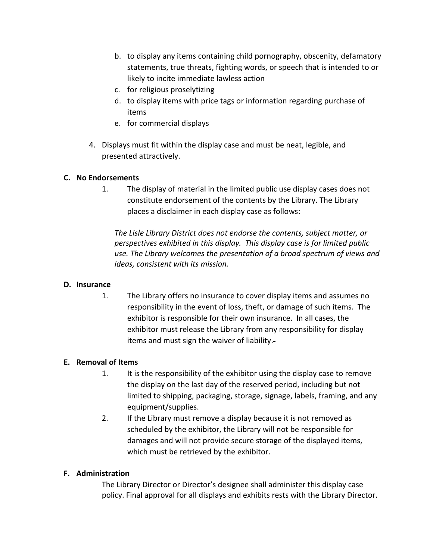- b. to display any items containing child pornography, obscenity, defamatory statements, true threats, fighting words, or speech that is intended to or likely to incite immediate lawless action
- c. for religious proselytizing
- d. to display items with price tags or information regarding purchase of items
- e. for commercial displays
- 4. Displays must fit within the display case and must be neat, legible, and presented attractively.

### **C. No Endorsements**

1. The display of material in the limited public use display cases does not constitute endorsement of the contents by the Library. The Library places a disclaimer in each display case as follows:

*The Lisle Library District does not endorse the contents, subject matter, or perspectives exhibited in this display. This display case is for limited public use. The Library welcomes the presentation of a broad spectrum of views and ideas, consistent with its mission.*

### **D. Insurance**

1. The Library offers no insurance to cover display items and assumes no responsibility in the event of loss, theft, or damage of such items. The exhibitor is responsible for their own insurance. In all cases, the exhibitor must release the Library from any responsibility for display items and must sign the waiver of liability.

### **E. Removal of Items**

- 1. It is the responsibility of the exhibitor using the display case to remove the display on the last day of the reserved period, including but not limited to shipping, packaging, storage, signage, labels, framing, and any equipment/supplies.
- 2. If the Library must remove a display because it is not removed as scheduled by the exhibitor, the Library will not be responsible for damages and will not provide secure storage of the displayed items, which must be retrieved by the exhibitor.

### **F. Administration**

The Library Director or Director's designee shall administer this display case policy. Final approval for all displays and exhibits rests with the Library Director.